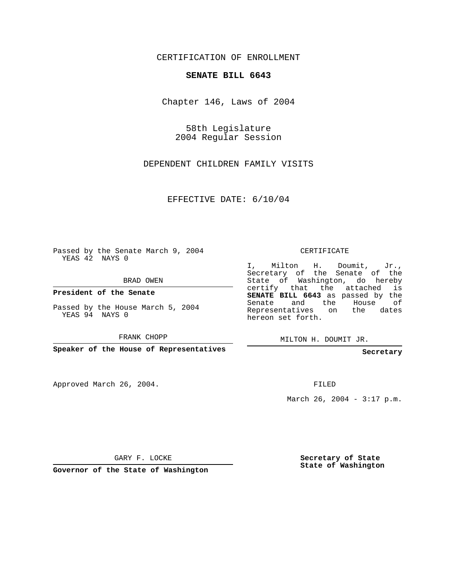CERTIFICATION OF ENROLLMENT

## **SENATE BILL 6643**

Chapter 146, Laws of 2004

58th Legislature 2004 Regular Session

DEPENDENT CHILDREN FAMILY VISITS

EFFECTIVE DATE: 6/10/04

Passed by the Senate March 9, 2004 YEAS 42 NAYS 0

BRAD OWEN

**President of the Senate**

Passed by the House March 5, 2004 YEAS 94 NAYS 0

FRANK CHOPP

**Speaker of the House of Representatives**

Approved March 26, 2004.

CERTIFICATE

I, Milton H. Doumit, Jr., Secretary of the Senate of the State of Washington, do hereby certify that the attached is **SENATE BILL 6643** as passed by the Senate and the House of Representatives on the dates hereon set forth.

MILTON H. DOUMIT JR.

**Secretary**

FILED

March 26, 2004 - 3:17 p.m.

GARY F. LOCKE

**Governor of the State of Washington**

**Secretary of State State of Washington**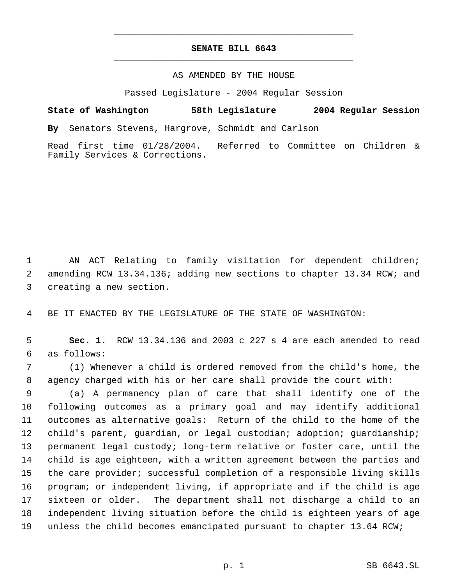## **SENATE BILL 6643** \_\_\_\_\_\_\_\_\_\_\_\_\_\_\_\_\_\_\_\_\_\_\_\_\_\_\_\_\_\_\_\_\_\_\_\_\_\_\_\_\_\_\_\_\_

\_\_\_\_\_\_\_\_\_\_\_\_\_\_\_\_\_\_\_\_\_\_\_\_\_\_\_\_\_\_\_\_\_\_\_\_\_\_\_\_\_\_\_\_\_

## AS AMENDED BY THE HOUSE

Passed Legislature - 2004 Regular Session

**State of Washington 58th Legislature 2004 Regular Session By** Senators Stevens, Hargrove, Schmidt and Carlson Read first time 01/28/2004. Referred to Committee on Children & Family Services & Corrections.

 AN ACT Relating to family visitation for dependent children; amending RCW 13.34.136; adding new sections to chapter 13.34 RCW; and creating a new section.

BE IT ENACTED BY THE LEGISLATURE OF THE STATE OF WASHINGTON:

 **Sec. 1.** RCW 13.34.136 and 2003 c 227 s 4 are each amended to read as follows:

 (1) Whenever a child is ordered removed from the child's home, the agency charged with his or her care shall provide the court with:

 (a) A permanency plan of care that shall identify one of the following outcomes as a primary goal and may identify additional outcomes as alternative goals: Return of the child to the home of the child's parent, guardian, or legal custodian; adoption; guardianship; permanent legal custody; long-term relative or foster care, until the child is age eighteen, with a written agreement between the parties and the care provider; successful completion of a responsible living skills program; or independent living, if appropriate and if the child is age sixteen or older. The department shall not discharge a child to an independent living situation before the child is eighteen years of age unless the child becomes emancipated pursuant to chapter 13.64 RCW;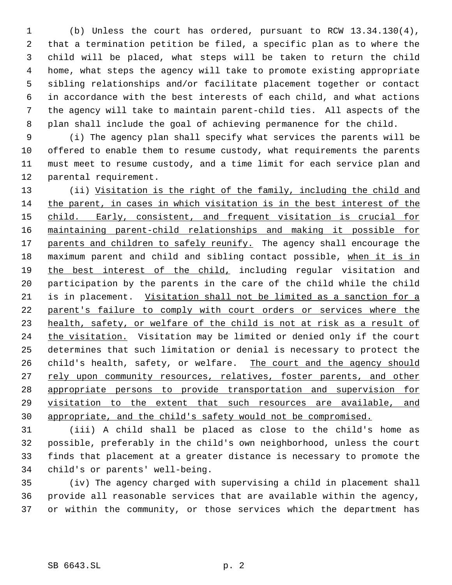(b) Unless the court has ordered, pursuant to RCW 13.34.130(4), that a termination petition be filed, a specific plan as to where the child will be placed, what steps will be taken to return the child home, what steps the agency will take to promote existing appropriate sibling relationships and/or facilitate placement together or contact in accordance with the best interests of each child, and what actions the agency will take to maintain parent-child ties. All aspects of the plan shall include the goal of achieving permanence for the child.

 (i) The agency plan shall specify what services the parents will be offered to enable them to resume custody, what requirements the parents must meet to resume custody, and a time limit for each service plan and parental requirement.

 (ii) Visitation is the right of the family, including the child and the parent, in cases in which visitation is in the best interest of the 15 child. Early, consistent, and frequent visitation is crucial for maintaining parent-child relationships and making it possible for 17 parents and children to safely reunify. The agency shall encourage the maximum parent and child and sibling contact possible, when it is in 19 the best interest of the child, including regular visitation and participation by the parents in the care of the child while the child is in placement. Visitation shall not be limited as a sanction for a parent's failure to comply with court orders or services where the health, safety, or welfare of the child is not at risk as a result of 24 the visitation. Visitation may be limited or denied only if the court determines that such limitation or denial is necessary to protect the 26 child's health, safety, or welfare. The court and the agency should 27 rely upon community resources, relatives, foster parents, and other appropriate persons to provide transportation and supervision for visitation to the extent that such resources are available, and appropriate, and the child's safety would not be compromised.

 (iii) A child shall be placed as close to the child's home as possible, preferably in the child's own neighborhood, unless the court finds that placement at a greater distance is necessary to promote the child's or parents' well-being.

 (iv) The agency charged with supervising a child in placement shall provide all reasonable services that are available within the agency, or within the community, or those services which the department has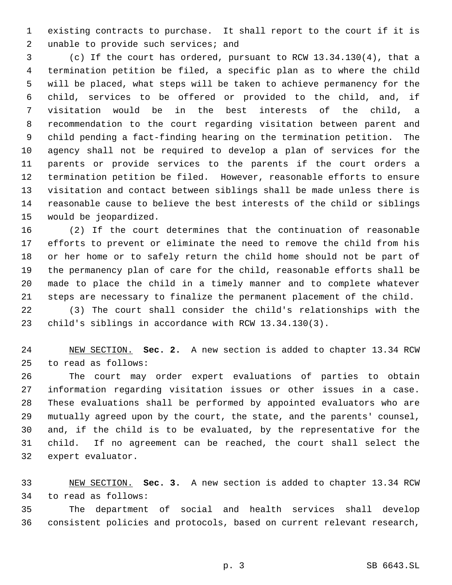existing contracts to purchase. It shall report to the court if it is 2 unable to provide such services; and

 (c) If the court has ordered, pursuant to RCW 13.34.130(4), that a termination petition be filed, a specific plan as to where the child will be placed, what steps will be taken to achieve permanency for the child, services to be offered or provided to the child, and, if visitation would be in the best interests of the child, a recommendation to the court regarding visitation between parent and child pending a fact-finding hearing on the termination petition. The agency shall not be required to develop a plan of services for the parents or provide services to the parents if the court orders a termination petition be filed. However, reasonable efforts to ensure visitation and contact between siblings shall be made unless there is reasonable cause to believe the best interests of the child or siblings would be jeopardized.

 (2) If the court determines that the continuation of reasonable efforts to prevent or eliminate the need to remove the child from his or her home or to safely return the child home should not be part of the permanency plan of care for the child, reasonable efforts shall be made to place the child in a timely manner and to complete whatever steps are necessary to finalize the permanent placement of the child.

 (3) The court shall consider the child's relationships with the child's siblings in accordance with RCW 13.34.130(3).

 NEW SECTION. **Sec. 2.** A new section is added to chapter 13.34 RCW to read as follows:

 The court may order expert evaluations of parties to obtain information regarding visitation issues or other issues in a case. These evaluations shall be performed by appointed evaluators who are mutually agreed upon by the court, the state, and the parents' counsel, and, if the child is to be evaluated, by the representative for the child. If no agreement can be reached, the court shall select the expert evaluator.

 NEW SECTION. **Sec. 3.** A new section is added to chapter 13.34 RCW to read as follows:

 The department of social and health services shall develop consistent policies and protocols, based on current relevant research,